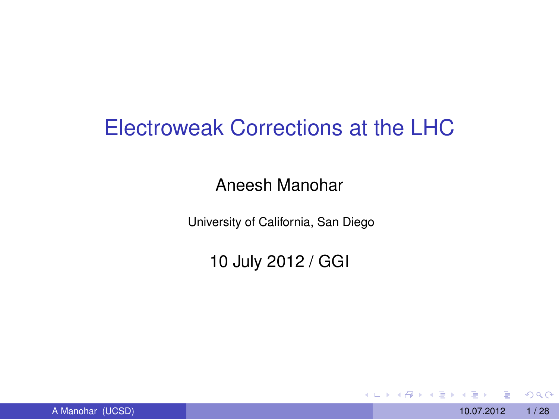### Electroweak Corrections at the LHC

### Aneesh Manohar

University of California, San Diego

10 July 2012 / GGI

4 0 8 1

 $\mathcal{A}$   $\overline{\mathcal{B}}$   $\rightarrow$   $\mathcal{A}$   $\overline{\mathcal{B}}$   $\rightarrow$   $\mathcal{A}$   $\overline{\mathcal{B}}$ 

A Manohar (UCSD) 10.07.2012 1/28

<span id="page-0-0"></span> $QQ$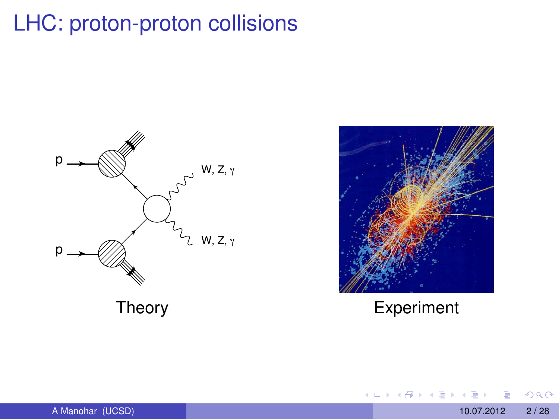# LHC: proton-proton collisions





メロトメ 御 トメ ヨ トメ ヨト

<span id="page-1-0"></span> $299$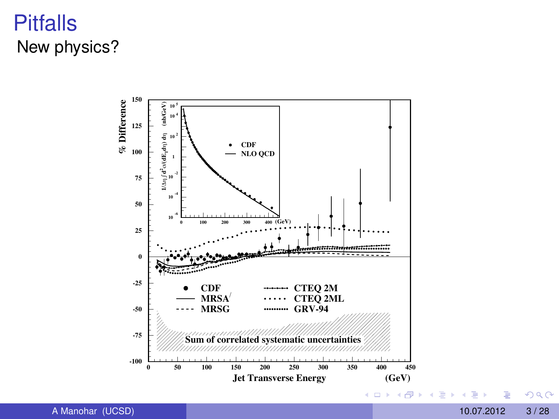### **Pitfalls** New physics?



 $299$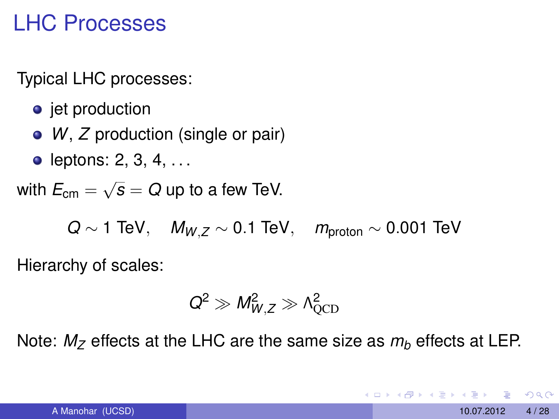### LHC Processes

Typical LHC processes:

- jet production
- *W*, *Z* production (single or pair)
- leptons:  $2, 3, 4, \ldots$

with  $E_{\text{cm}} = \sqrt{s} = Q$  up to a few TeV.

*Q* ∼ 1 TeV, *M<sub>W</sub>*, *Z* ∼ 0.1 TeV, *m*<sub>proton</sub> ∼ 0.001 TeV

Hierarchy of scales:

$$
Q^2 \gg M_{W,Z}^2 \gg \Lambda_{QCD}^2
$$

Note:  $M_z$  effects at the LHC are the same size as  $m_b$  effects at LEP.

 $QQQ$ 

 $\mathcal{A} \cap \{ \mathcal{B} \mid \mathcal{B} \mid \mathcal{B} \mid \mathcal{B} \mid \mathcal{B} \mid \mathcal{B} \mid \mathcal{B} \mid \mathcal{B} \mid \mathcal{B} \mid \mathcal{B} \mid \mathcal{B} \mid \mathcal{B} \mid \mathcal{B} \mid \mathcal{B} \mid \mathcal{B} \mid \mathcal{B} \mid \mathcal{B} \mid \mathcal{B} \mid \mathcal{B} \mid \mathcal{B} \mid \mathcal{B} \mid \mathcal{B} \mid \mathcal{B} \mid \mathcal{B} \mid \mathcal{B} \mid \mathcal{B} \mid \math$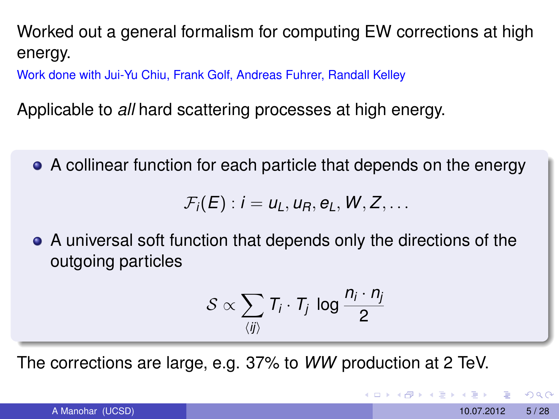Worked out a general formalism for computing EW corrections at high energy.

Work done with Jui-Yu Chiu, Frank Golf, Andreas Fuhrer, Randall Kelley

Applicable to *all* hard scattering processes at high energy.

A collinear function for each particle that depends on the energy

 $\mathcal{F}_i(E): i = u_i, u_R, e_i, W, Z, \ldots$ 

A universal soft function that depends only the directions of the outgoing particles

$$
\mathcal{S} \propto \sum_{\langle ij \rangle} T_i \cdot T_j \, \log \frac{n_i \cdot n_j}{2}
$$

The corrections are large, e.g. 37% to *WW* production at 2 TeV.

 $QQQ$ 

 $(0.125 \times 10^{-14} \text{ m}) \times 10^{-14} \text{ m}$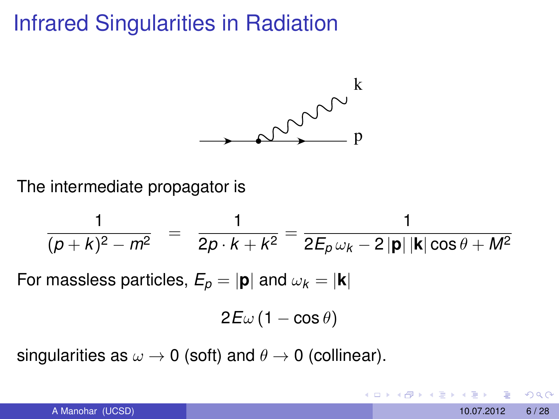### Infrared Singularities in Radiation



The intermediate propagator is

$$
\frac{1}{(p+k)^2 - m^2} = \frac{1}{2p \cdot k + k^2} = \frac{1}{2E_p \omega_k - 2 |\mathbf{p}| |\mathbf{k}| \cos \theta + M^2}
$$

For massless particles,  $E_p = |\mathbf{p}|$  and  $\omega_k = |\mathbf{k}|$ 

$$
2E\omega\left(1-\cos\theta\right)
$$

singularities as  $\omega \rightarrow 0$  (soft) and  $\theta \rightarrow 0$  (collinear).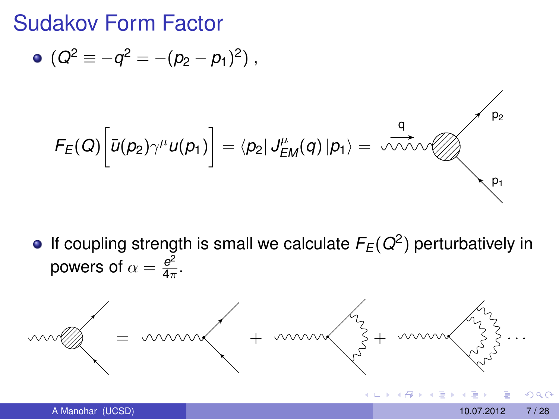Sudakov Form Factor

• 
$$
(Q^2 \equiv -q^2 = -(p_2 - p_1)^2)
$$
,

$$
F_E(Q)\left[\overline{u}(p_2)\gamma^{\mu}u(p_1)\right]=\langle p_2|J_{EM}^{\mu}(q)|p_1\rangle=\sqrt{\frac{q}{\sqrt{2}}\sqrt{p_2}}
$$

If coupling strength is small we calculate *FE*(*Q*<sup>2</sup> ) perturbatively in powers of  $\alpha=\frac{e^2}{4\pi}$  $rac{e^2}{4\pi}$ .

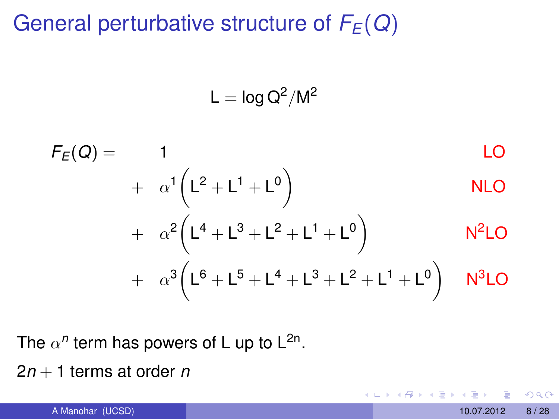### General perturbative structure of *FE*(*Q*)

 $\mathsf{L} = \mathsf{log}\,\mathsf{Q}^2/\mathsf{M}^2$ 

$$
F_E(Q) = 1
$$
 LO  
+  $\alpha^1 (L^2 + L^1 + L^0)$  NLO  
+  $\alpha^2 (L^4 + L^3 + L^2 + L^1 + L^0)$  N<sup>2</sup>LO  
+  $\alpha^3 (L^6 + L^5 + L^4 + L^3 + L^2 + L^1 + L^0)$  N<sup>3</sup>LO

The  $\alpha^n$  term has powers of L up to L<sup>2n</sup>.

2*n* + 1 terms at order *n*

 $QQ$ 

4 0 8

 $\rightarrow$   $\equiv$   $\rightarrow$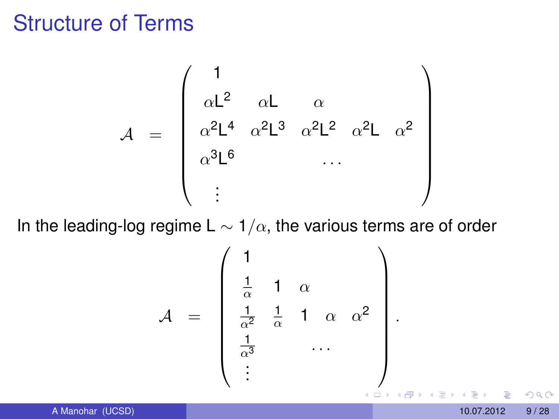### Structure of Terms

$$
\mathcal{A} = \begin{pmatrix} 1 \\ \alpha L^2 & \alpha L & \alpha \\ \alpha^2 L^4 & \alpha^2 L^3 & \alpha^2 L^2 & \alpha^2 L & \alpha^2 \\ \alpha^3 L^6 & & \dots & \\ \vdots & & & \end{pmatrix}
$$

In the leading-log regime L  $\sim 1/\alpha$ , the various terms are of order

$$
\mathcal{A} = \begin{pmatrix} 1 & & & \\ \frac{1}{\alpha} & 1 & \alpha & & \\ \frac{1}{\alpha^2} & \frac{1}{\alpha} & 1 & \alpha & \alpha^2 \\ \frac{1}{\alpha^3} & & \cdots & & \\ \vdots & & & & \end{pmatrix}.
$$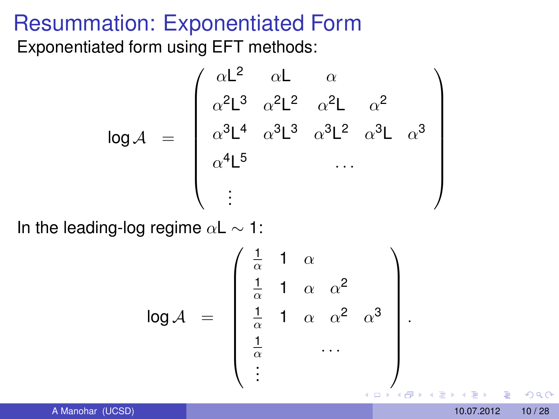# Resummation: Exponentiated Form

Exponentiated form using EFT methods:

$$
\log A = \begin{pmatrix} \alpha L^2 & \alpha L & \alpha \\ \alpha^2 L^3 & \alpha^2 L^2 & \alpha^2 L & \alpha^2 \\ \alpha^3 L^4 & \alpha^3 L^3 & \alpha^3 L^2 & \alpha^3 L & \alpha^3 \\ \alpha^4 L^5 & \cdots & \cdots & \cdots & \cdots \end{pmatrix}
$$

In the leading-log regime  $\alpha L \sim 1$ :

$$
\log A = \begin{pmatrix} \frac{1}{\alpha} & 1 & \alpha \\ \frac{1}{\alpha} & 1 & \alpha & \alpha^2 \\ \frac{1}{\alpha} & 1 & \alpha & \alpha^2 & \alpha^3 \\ \frac{1}{\alpha} & \cdots & \vdots & \vdots \end{pmatrix}.
$$

 $QQ$ 

.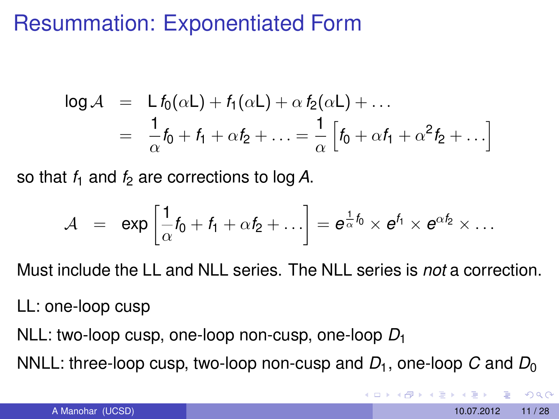### Resummation: Exponentiated Form

$$
\log \mathcal{A} = L f_0(\alpha L) + f_1(\alpha L) + \alpha f_2(\alpha L) + \dots
$$
  
= 
$$
\frac{1}{\alpha} f_0 + f_1 + \alpha f_2 + \dots = \frac{1}{\alpha} \left[ f_0 + \alpha f_1 + \alpha^2 f_2 + \dots \right]
$$

so that  $f_1$  and  $f_2$  are corrections to log A.

$$
\mathcal{A} \;\; = \;\; \exp \left[ \frac{1}{\alpha} f_0 + f_1 + \alpha f_2 + \ldots \right] = e^{\frac{1}{\alpha} f_0} \times e^{f_1} \times e^{\alpha f_2} \times \ldots
$$

Must include the LL and NLL series. The NLL series is *not* a correction.

LL: one-loop cusp

NLL: two-loop cusp, one-loop non-cusp, one-loop *D*<sup>1</sup>

NNLL: three-loop cusp, two-loop non-cusp and  $D_1$ , one-loop  $C$  and  $D_0$ 

 $QQQ$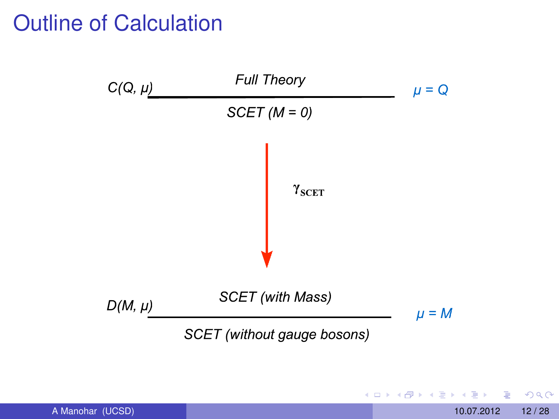### Outline of Calculation



活 A Manohar (UCSD) 12/28

 $\rightarrow$ 

 $299$ 

 $A \cap A \rightarrow A \cap A \rightarrow A \Rightarrow A \Rightarrow$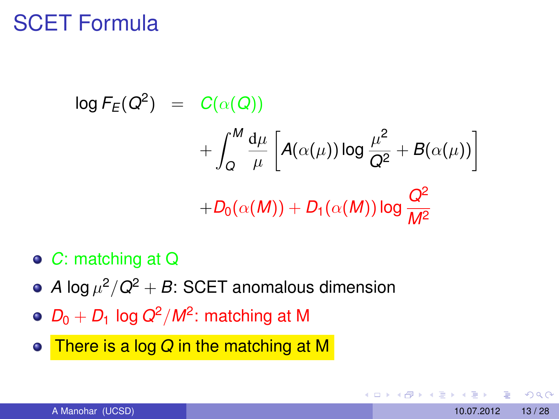### SCET Formula

$$
\log F_E(Q^2) = C(\alpha(Q))
$$
  
+ 
$$
\int_Q^M \frac{d\mu}{\mu} \left[ A(\alpha(\mu)) \log \frac{\mu^2}{Q^2} + B(\alpha(\mu)) \right]
$$
  
+ 
$$
D_0(\alpha(M)) + D_1(\alpha(M)) \log \frac{Q^2}{M^2}
$$

- *C*: matching at Q
- *A* log  $\mu^2/Q^2+B$ : SCET anomalous dimension
- *D*<sup>0</sup> + *D*<sup>1</sup> log *Q*2/*M*<sup>2</sup> : matching at M
- <span id="page-12-0"></span>There is a log *Q* in the matching at M  $\bullet$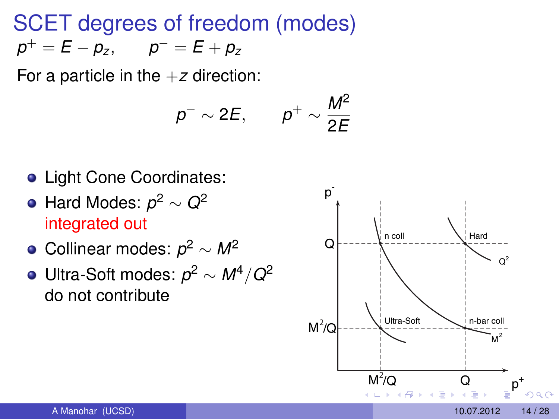SCET degrees of freedom (modes)  $p^+ = E - p_z$ ,  $p^- = E + p_z$ 

For a particle in the  $+z$  direction:

$$
p^- \sim 2E, \qquad p^+ \sim \frac{M^2}{2E}
$$

- **Light Cone Coordinates:**
- Hard Modes: *p* <sup>2</sup> <sup>∼</sup> *<sup>Q</sup>*<sup>2</sup> integrated out
- Collinear modes: *p* <sup>2</sup> <sup>∼</sup> *<sup>M</sup>*<sup>2</sup>
- Ultra-Soft modes: *p* <sup>2</sup> <sup>∼</sup> *<sup>M</sup>*4/*Q*<sup>2</sup> do not contribute

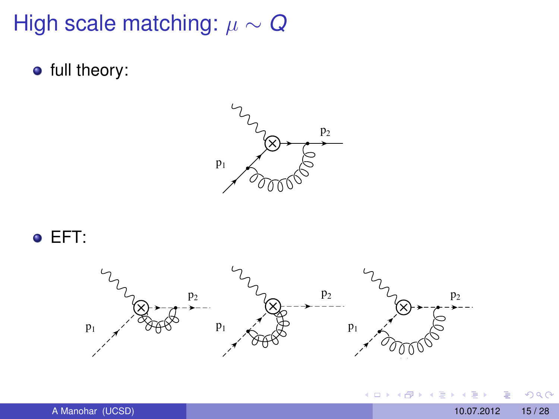### High scale matching:  $\mu \sim Q$

**•** full theory:







4日下

 $\mathbf{A} \oplus \mathbf{B}$   $\mathbf{A} \oplus \mathbf{B}$ 

 $\mathcal{A}$ E <span id="page-14-0"></span> $299$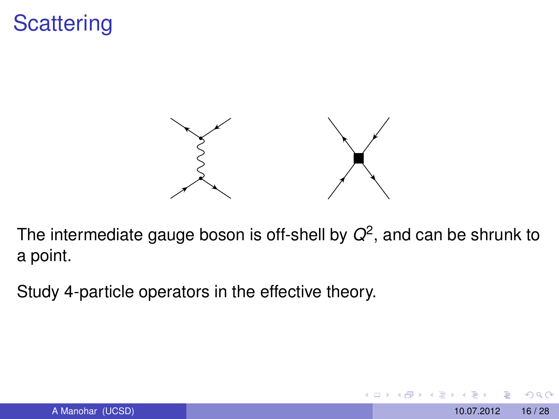# **Scattering**



The intermediate gauge boson is off-shell by  $Q^2$ , and can be shrunk to a point.

Study 4-particle operators in the effective theory.

 $QQ$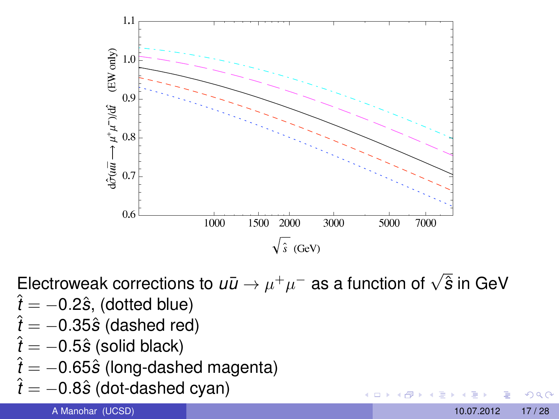

Electroweak corrections to  $u\bar{u} \rightarrow \mu^+\mu^-$  as a function of  $\sqrt{\hat{s}}$  in GeV

- $\hat{t} = -0.2\hat{s}$ , (dotted blue)
- <sup>ˆ</sup>*<sup>t</sup>* <sup>=</sup> <sup>−</sup>0.35*s*<sup>ˆ</sup> (dashed red)
- $\hat{t} = -0.5\hat{s}$  (solid black)
- $\hat{t} = -0.65\hat{s}$  (long-dashed magenta)
- <sup>ˆ</sup>*<sup>t</sup>* <sup>=</sup> <sup>−</sup>0.8*s*<sup>ˆ</sup> (dot-dashed cyan)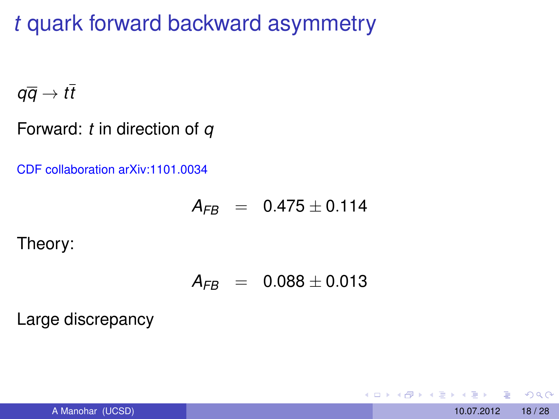*t* quark forward backward asymmetry

 $q\overline{q} \rightarrow t\overline{t}$ 

Forward: *t* in direction of *q*

CDF collaboration arXiv:1101.0034

$$
A_{FB} \;\; = \;\; 0.475 \pm 0.114
$$

Theory:

$$
A_{FB} = 0.088 \pm 0.013
$$

Large discrepancy

 $\Omega$ 

E K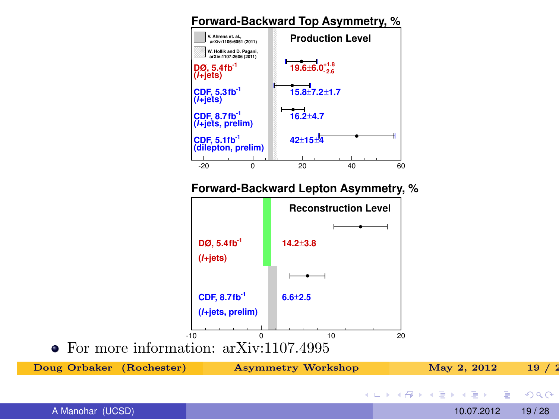### **Forward-Backward Top Asymmetry, %**



| Doug Orbaker (Rochester) | <b>Asymmetry Workshop</b> | May 2, 2012                              | 19/2  |
|--------------------------|---------------------------|------------------------------------------|-------|
|                          |                           | - ∢ ロ ▶ ∢ 伊 ▶ ∢ ヨ ▶ ∢ ヨ ▶ ・ ヨ ・ り ౸ (^ - |       |
| A Manohar (UCSD)         |                           | 10.07.2012                               | 19/28 |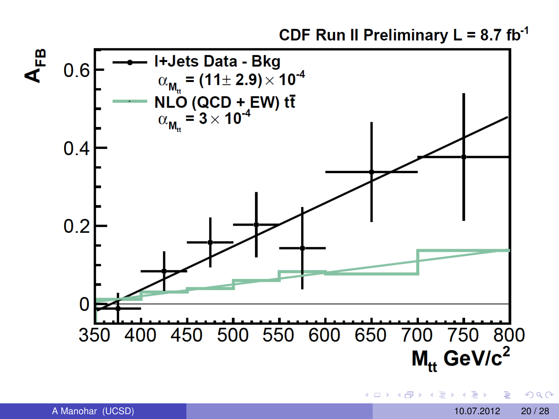CDF Run II Preliminary  $L = 8.7$  fb<sup>-1</sup>



⊀ 御 ⊁ ∢ 唐 ⊁ ∢ 唐

4 D.K.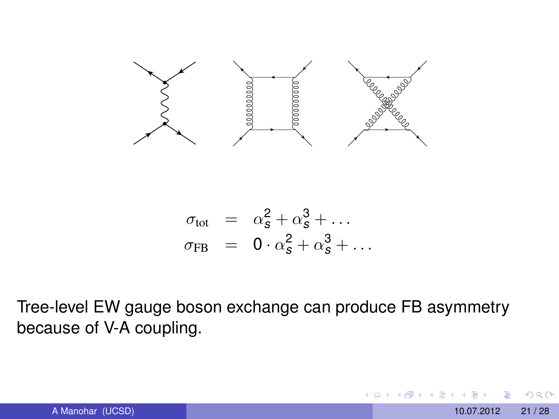

$$
\begin{array}{rcl}\n\sigma_{\text{tot}} & = & \alpha_{\mathcal{S}}^2 + \alpha_{\mathcal{S}}^3 + \dots \\
\sigma_{\text{FB}} & = & 0 \cdot \alpha_{\mathcal{S}}^2 + \alpha_{\mathcal{S}}^3 + \dots\n\end{array}
$$

Tree-level EW gauge boson exchange can produce FB asymmetry because of V-A coupling.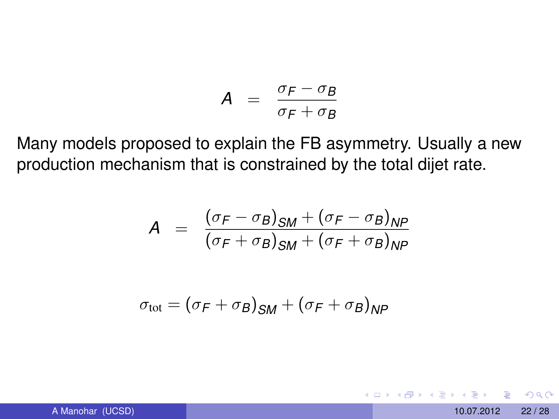$$
A = \frac{\sigma_F - \sigma_B}{\sigma_F + \sigma_B}
$$

Many models proposed to explain the FB asymmetry. Usually a new production mechanism that is constrained by the total dijet rate.

$$
A = \frac{(\sigma_F - \sigma_B)_{SM} + (\sigma_F - \sigma_B)_{NP}}{(\sigma_F + \sigma_B)_{SM} + (\sigma_F + \sigma_B)_{NP}}
$$

$$
\sigma_{\text{tot}} = (\sigma_F + \sigma_B)_{SM} + (\sigma_F + \sigma_B)_{NP}
$$

 $\Omega$ 

 $4 \oplus 14 \oplus 14$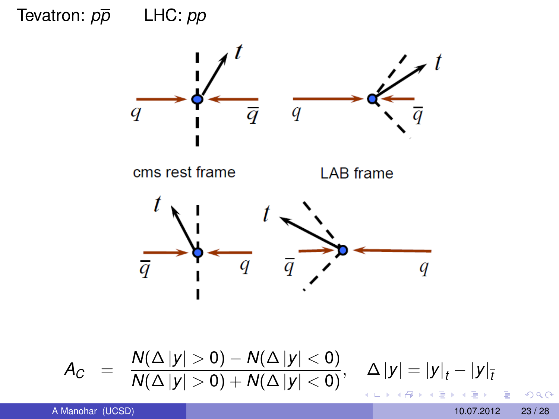# Tevatron:  $p\overline{p}$  LHC:  $pp$ Tevatron:  $p\overline{p}$  LHC:  $pp$



$$
A_C = \frac{N(\Delta |y| > 0) - N(\Delta |y| < 0)}{N(\Delta |y| > 0) + N(\Delta |y| < 0)}, \quad \Delta |y| = |y|_t - |y|_{\overline{t}}
$$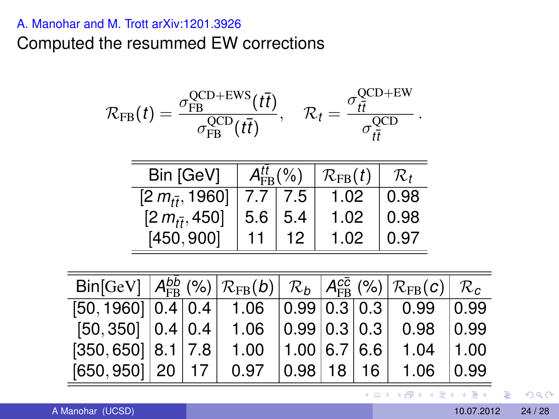### A. Manohar and M. Trott arXiv:1201.3926

Computed the resummed EW corrections

$$
\mathcal{R}_{FB}(t) = \frac{\sigma_{FB}^{QCD+EWS}(t\overline{t})}{\sigma_{FB}^{QCD}(t\overline{t})}, \quad \mathcal{R}_{t} = \frac{\sigma_{t\overline{t}}^{QCD+EW}}{\sigma_{t\overline{t}}^{QCD}}.
$$

| Bin [GeV]                | $A_{\text{FR}}^{tt}$ (%) |               | $\mathcal{R}_{\text{FB}}(t)$ | $\mathcal{R}_t$ |
|--------------------------|--------------------------|---------------|------------------------------|-----------------|
| $[2 m_{t\bar{t}}, 1960]$ |                          | $7.7 \pm 7.5$ | 1.02                         | 0.98            |
| $[2 m_{t\bar{t}}, 450]$  | 5.6                      | 5.4           | 1.02                         | 0.98            |
| [450, 900]               |                          |               | 1.02                         | 0.97            |

| $\text{Bin}[\text{GeV}]   A_{FB}^{bb} (\%)   R_{FB}(b)   R_b   A_{FB}^{c\bar{c}} (\%)   R_{FB}(c)   R_c$ |  |                           |  |                                         |      |
|----------------------------------------------------------------------------------------------------------|--|---------------------------|--|-----------------------------------------|------|
| $[50, 1960]$ 0.4 0.4 1.06 0.99 0.3 0.3 0.99 0.99                                                         |  |                           |  |                                         |      |
| $[50, 350]$ $ 0.4 0.4 $                                                                                  |  |                           |  | $1.06$   0.99   0.3   0.3   0.98   0.99 |      |
| $[350, 650]$ 8.1 7.8                                                                                     |  | $1.00$   1.00   6.7   6.6 |  | $1.04$   1.00                           |      |
| $[650, 950]$ $ $ 20 $ $ 17 $ $                                                                           |  | $0.97$ $ 0.98 $ 18   16   |  | 1.06                                    | 0.99 |

イロトメ 御 トメ 君 トメ 君 トー 君

 $QQ$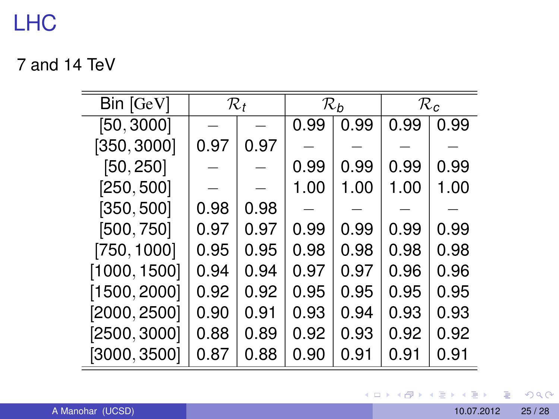### LHC

7 and 14 TeV

| Bin [GeV]                 | $\mathcal{R}_t$ |      | $\mathcal{R}_b$ |      | $\mathcal{R}_c$ |      |
|---------------------------|-----------------|------|-----------------|------|-----------------|------|
| [50, 3000]                |                 |      | 0.99            | 0.99 | 0.99            | 0.99 |
| [350, 3000]               | 0.97            | 0.97 |                 |      |                 |      |
| [50, 250]                 |                 |      | 0.99            | 0.99 | 0.99            | 0.99 |
| [250, 500]                |                 |      | 1.00            | 1.00 | 1.00            | 1.00 |
| [350, 500]                | 0.98            | 0.98 |                 |      |                 |      |
| [500, 750]                | 0.97            | 0.97 | 0.99            | 0.99 | 0.99            | 0.99 |
| [750, 1000]               | 0.95            | 0.95 | 0.98            | 0.98 | 0.98            | 0.98 |
| [1000, 1500]              | 0.94            | 0.94 | 0.97            | 0.97 | 0.96            | 0.96 |
| [1500, 2000]              | 0.92            | 0.92 | 0.95            | 0.95 | 0.95            | 0.95 |
| [2000, 2500]              | 0.90            | 0.91 | 0.93            | 0.94 | 0.93            | 0.93 |
| [2500, 3000]              | 0.88            | 0.89 | 0.92            | 0.93 | 0.92            | 0.92 |
| $\left[3000, 3500\right]$ | 0.87            | 0.88 | 0.90            | 0.91 | 0.91            | 0.91 |

メロトメ 御 トメ 君 トメ 君 ト

重

 $2990$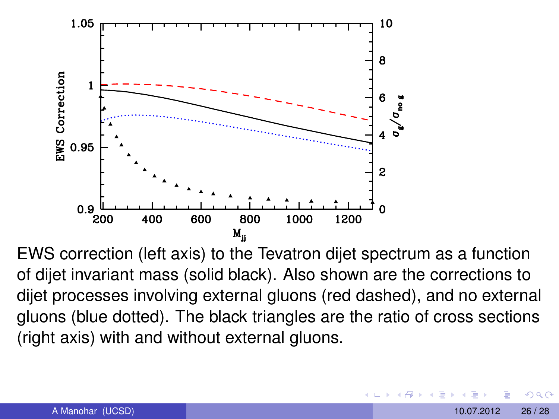

EWS correction (left axis) to the Tevatron dijet spectrum as a function of dijet invariant mass (solid black). Also shown are the corrections to dijet processes involving external gluons (red dashed), and no external gluons (blue dotted). The black triangles are the ratio of cross sections (right axis) with and without external gluons.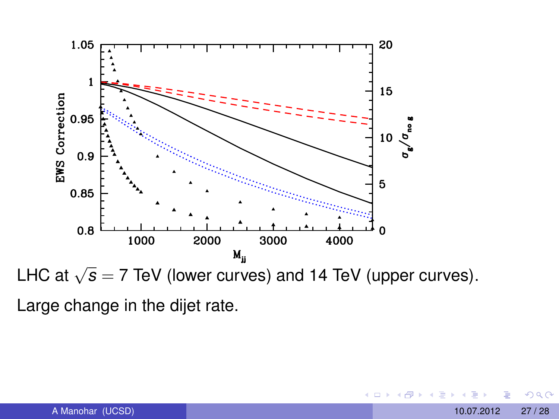

LHC at  $\sqrt{s}$  = 7 TeV (lower curves) and 14 TeV (upper curves). Large change in the dijet rate.